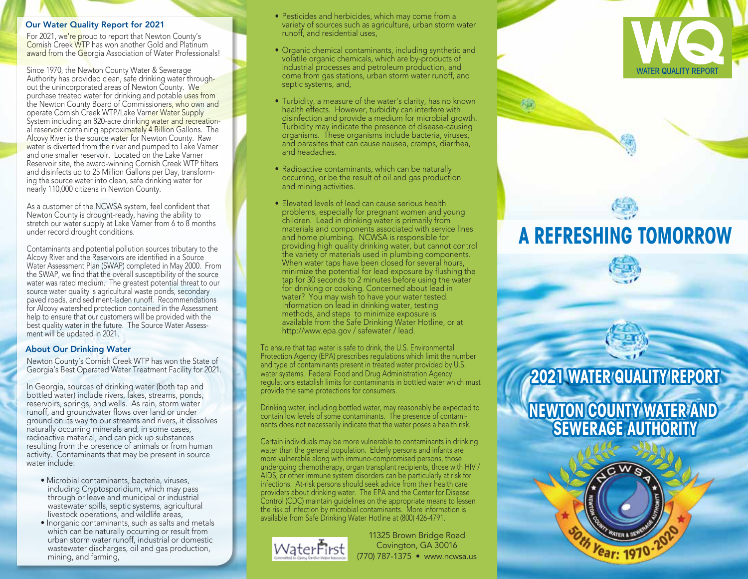#### Our Water Quality Report for 2021

For 2021, we're proud to report that Newton County's Cornish Creek WTP has won another Gold and Platinum award from the Georgia Association of Water Professionals!

Since 1970, the Newton County Water & Sewerage Authority has provided clean, safe drinking water throughout the unincorporated areas of Newton County. We purchase treated water for drinking and potable uses from the Newton County Board of Commissioners, who own and operate Cornish Creek WTP/Lake Varner Water Supply System including an 820-acre drinking water and recreational reservoir containing approximately 4 Billion Gallons. The Alcovy River is the source water for Newton County. Raw water is diverted from the river and pumped to Lake Varner and one smaller reservoir. Located on the Lake Varner Reservoir site, the award-winning Cornish Creek WTP filters and disinfects up to 25 Million Gallons per Day, transforming the source water into clean, safe drinking water for nearly 110,000 citizens in Newton County.

As a customer of the NCWSA system, feel confident that Newton County is drought-ready, having the ability to stretch our water supply at Lake Varner from 6 to 8 months under record drought conditions.

Contaminants and potential pollution sources tributary to the Alcovy River and the Reservoirs are identified in a Source Water Assessment Plan (SWAP) completed in May 2000. From the SWAP, we find that the overall susceptibility of the source water was rated medium. The greatest potential threat to our source water quality is agricultural waste ponds, secondary paved roads, and sediment-laden runoff. Recommendations for Alcovy watershed protection contained in the Assessment help to ensure that our customers will be provided with the best quality water in the future. The Source Water Assessment will be updated in 2021.

## About Our Drinking Water

Newton County's Cornish Creek WTP has won the State of Georgia's Best Operated Water Treatment Facility for 2021.

In Georgia, sources of drinking water (both tap and bottled water) include rivers, lakes, streams, ponds, reservoirs, springs, and wells. As rain, storm water runoff, and groundwater flows over land or under ground on its way to our streams and rivers, it dissolves naturally occurring minerals and, in some cases, radioactive material, and can pick up substances resulting from the presence of animals or from human activity. Contaminants that may be present in source water include:

- Microbial contaminants, bacteria, viruses, including Cryptosporidium, which may pass through or leave and municipal or industrial wastewater spills, septic systems, agricultural livestock operations, and wildlife areas,
- Inorganic contaminants, such as salts and metals which can be naturally occurring or result from urban storm water runoff, industrial or domestic wastewater discharges, oil and gas production, mining, and farming,
- Pesticides and herbicides, which may come from a variety of sources such as agriculture, urban storm water runoff, and residential uses,
- Organic chemical contaminants, including synthetic and volatile organic chemicals, which are by-products of industrial processes and petroleum production, and come from gas stations, urban storm water runoff, and septic systems, and,
- Turbidity, a measure of the water's clarity, has no known health effects. However, turbidity can interfere with disinfection and provide a medium for microbial growth. Turbidity may indicate the presence of disease-causing organisms. These organisms include bacteria, viruses, and parasites that can cause nausea, cramps, diarrhea, and headaches.
	- Radioactive contaminants, which can be naturally occurring, or be the result of oil and gas production and mining activities.
- Elevated levels of lead can cause serious health problems, especially for pregnant women and young children. Lead in drinking water is primarily from materials and components associated with service lines and home plumbing. NCWSA is responsible for providing high quality drinking water, but cannot control the variety of materials used in plumbing components. When water taps have been closed for several hours, minimize the potential for lead exposure by flushing the tap for 30 seconds to 2 minutes before using the water for drinking or cooking. Concerned about lead in water? You may wish to have your water tested. Information on lead in drinking water, testing methods, and steps to minimize exposure is available from the Safe Drinking Water Hotline, or at http://www.epa.gov / safewater / lead.

To ensure that tap water is safe to drink, the U.S. Environmental Protection Agency (EPA) prescribes regulations which limit the number and type of contaminants present in treated water provided by U.S. water systems. Federal Food and Drug Administration Agency regulations establish limits for contaminants in bottled water which must provide the same protections for consumers.

Drinking water, including bottled water, may reasonably be expected to contain low levels of some contaminants. The presence of contami nants does not necessarily indicate that the water poses a health risk.

Certain individuals may be more vulnerable to contaminants in drinking water than the general population. Elderly persons and infants are more vulnerable along with immuno-compromised persons, those undergoing chemotherapy, organ transplant recipients, those with HIV / AIDS, or other immune system disorders can be particularly at risk for infections. At-risk persons should seek advice from their health care providers about drinking water. The EPA and the Center for Disease Control (CDC) maintain guidelines on the appropriate means to lessen the risk of infection by microbial contaminants. More information is available from Safe Drinking Water Hotline at (800) 426-4791.



11325 Brown Bridge Road Covington, GA 30016 (770) 787-1375 • www.ncwsa.us



# **A REFRESHING TOMORROW**



**NEWTON COUNTY WATER AND SEWERAGE AUTHORITY**